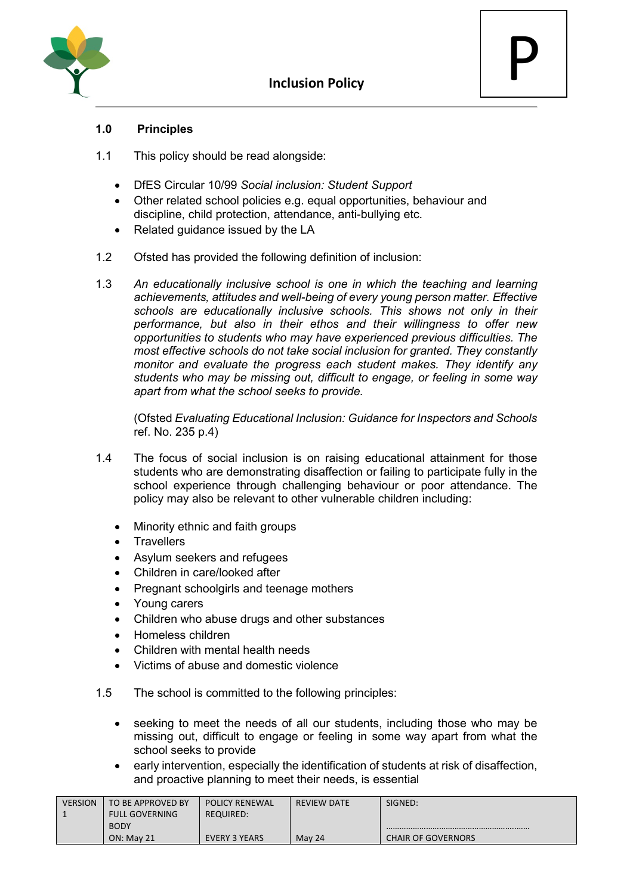

P

#### **1.0 Principles**

- 1.1 This policy should be read alongside:
	- DfES Circular 10/99 *Social inclusion: Student Support*
	- Other related school policies e.g. equal opportunities, behaviour and discipline, child protection, attendance, anti-bullying etc.
	- Related quidance issued by the LA
- 1.2 Ofsted has provided the following definition of inclusion:
- 1.3 *An educationally inclusive school is one in which the teaching and learning achievements, attitudes and well-being of every young person matter. Effective schools are educationally inclusive schools. This shows not only in their performance, but also in their ethos and their willingness to offer new opportunities to students who may have experienced previous difficulties. The most effective schools do not take social inclusion for granted. They constantly monitor and evaluate the progress each student makes. They identify any students who may be missing out, difficult to engage, or feeling in some way apart from what the school seeks to provide.*

(Ofsted *Evaluating Educational Inclusion: Guidance for Inspectors and Schools*  ref. No. 235 p.4)

- 1.4 The focus of social inclusion is on raising educational attainment for those students who are demonstrating disaffection or failing to participate fully in the school experience through challenging behaviour or poor attendance. The policy may also be relevant to other vulnerable children including:
	- Minority ethnic and faith groups
	- **Travellers**
	- Asylum seekers and refugees
	- Children in care/looked after
	- Pregnant schoolgirls and teenage mothers
	- Young carers
	- Children who abuse drugs and other substances
	- Homeless children
	- Children with mental health needs
	- Victims of abuse and domestic violence
- 1.5 The school is committed to the following principles:
	- seeking to meet the needs of all our students, including those who may be missing out, difficult to engage or feeling in some way apart from what the school seeks to provide
	- early intervention, especially the identification of students at risk of disaffection, and proactive planning to meet their needs, is essential

| <b>VERSION</b> | TO BE APPROVED BY     | <b>POLICY RENEWAL</b> | <b>REVIEW DATE</b> | SIGNED:                   |
|----------------|-----------------------|-----------------------|--------------------|---------------------------|
|                | <b>FULL GOVERNING</b> | <b>REQUIRED:</b>      |                    |                           |
|                | <b>BODY</b>           |                       |                    |                           |
|                | <b>ON: May 21</b>     | EVERY 3 YEARS         | May 24             | <b>CHAIR OF GOVERNORS</b> |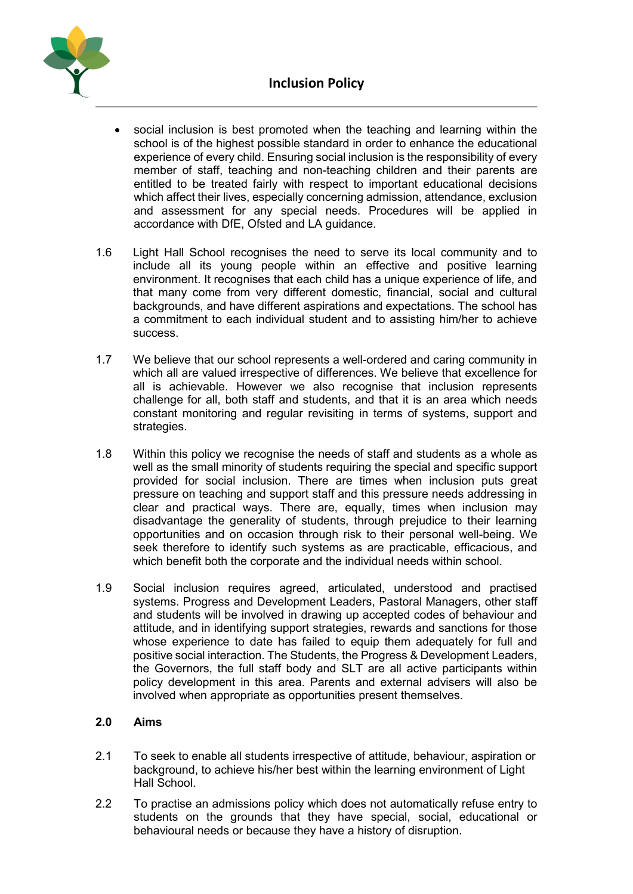

- social inclusion is best promoted when the teaching and learning within the school is of the highest possible standard in order to enhance the educational experience of every child. Ensuring social inclusion is the responsibility of every member of staff, teaching and non-teaching children and their parents are entitled to be treated fairly with respect to important educational decisions which affect their lives, especially concerning admission, attendance, exclusion and assessment for any special needs. Procedures will be applied in accordance with DfE, Ofsted and LA guidance.
- 1.6 Light Hall School recognises the need to serve its local community and to include all its young people within an effective and positive learning environment. It recognises that each child has a unique experience of life, and that many come from very different domestic, financial, social and cultural backgrounds, and have different aspirations and expectations. The school has a commitment to each individual student and to assisting him/her to achieve success.
- 1.7 We believe that our school represents a well-ordered and caring community in which all are valued irrespective of differences. We believe that excellence for all is achievable. However we also recognise that inclusion represents challenge for all, both staff and students, and that it is an area which needs constant monitoring and regular revisiting in terms of systems, support and strategies.
- 1.8 Within this policy we recognise the needs of staff and students as a whole as well as the small minority of students requiring the special and specific support provided for social inclusion. There are times when inclusion puts great pressure on teaching and support staff and this pressure needs addressing in clear and practical ways. There are, equally, times when inclusion may disadvantage the generality of students, through prejudice to their learning opportunities and on occasion through risk to their personal well-being. We seek therefore to identify such systems as are practicable, efficacious, and which benefit both the corporate and the individual needs within school.
- 1.9 Social inclusion requires agreed, articulated, understood and practised systems. Progress and Development Leaders, Pastoral Managers, other staff and students will be involved in drawing up accepted codes of behaviour and attitude, and in identifying support strategies, rewards and sanctions for those whose experience to date has failed to equip them adequately for full and positive social interaction. The Students, the Progress & Development Leaders, the Governors, the full staff body and SLT are all active participants within policy development in this area. Parents and external advisers will also be involved when appropriate as opportunities present themselves.

# **2.0 Aims**

- 2.1 To seek to enable all students irrespective of attitude, behaviour, aspiration or background, to achieve his/her best within the learning environment of Light Hall School.
- 2.2 To practise an admissions policy which does not automatically refuse entry to students on the grounds that they have special, social, educational or behavioural needs or because they have a history of disruption.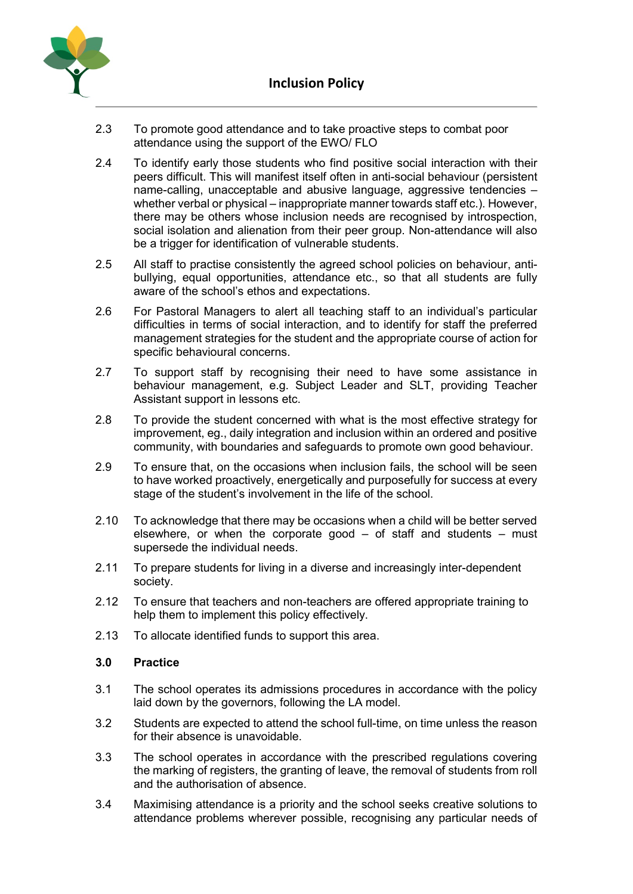

- 2.3 To promote good attendance and to take proactive steps to combat poor attendance using the support of the EWO/ FLO
- 2.4 To identify early those students who find positive social interaction with their peers difficult. This will manifest itself often in anti-social behaviour (persistent name-calling, unacceptable and abusive language, aggressive tendencies – whether verbal or physical – inappropriate manner towards staff etc.). However, there may be others whose inclusion needs are recognised by introspection, social isolation and alienation from their peer group. Non-attendance will also be a trigger for identification of vulnerable students.
- 2.5 All staff to practise consistently the agreed school policies on behaviour, antibullying, equal opportunities, attendance etc., so that all students are fully aware of the school's ethos and expectations.
- 2.6 For Pastoral Managers to alert all teaching staff to an individual's particular difficulties in terms of social interaction, and to identify for staff the preferred management strategies for the student and the appropriate course of action for specific behavioural concerns.
- 2.7 To support staff by recognising their need to have some assistance in behaviour management, e.g. Subject Leader and SLT, providing Teacher Assistant support in lessons etc.
- 2.8 To provide the student concerned with what is the most effective strategy for improvement, eg., daily integration and inclusion within an ordered and positive community, with boundaries and safeguards to promote own good behaviour.
- 2.9 To ensure that, on the occasions when inclusion fails, the school will be seen to have worked proactively, energetically and purposefully for success at every stage of the student's involvement in the life of the school.
- 2.10 To acknowledge that there may be occasions when a child will be better served elsewhere, or when the corporate good  $-$  of staff and students  $-$  must supersede the individual needs.
- 2.11 To prepare students for living in a diverse and increasingly inter-dependent society.
- 2.12 To ensure that teachers and non-teachers are offered appropriate training to help them to implement this policy effectively.
- 2.13 To allocate identified funds to support this area.

### **3.0 Practice**

- 3.1 The school operates its admissions procedures in accordance with the policy laid down by the governors, following the LA model.
- 3.2 Students are expected to attend the school full-time, on time unless the reason for their absence is unavoidable.
- 3.3 The school operates in accordance with the prescribed regulations covering the marking of registers, the granting of leave, the removal of students from roll and the authorisation of absence.
- 3.4 Maximising attendance is a priority and the school seeks creative solutions to attendance problems wherever possible, recognising any particular needs of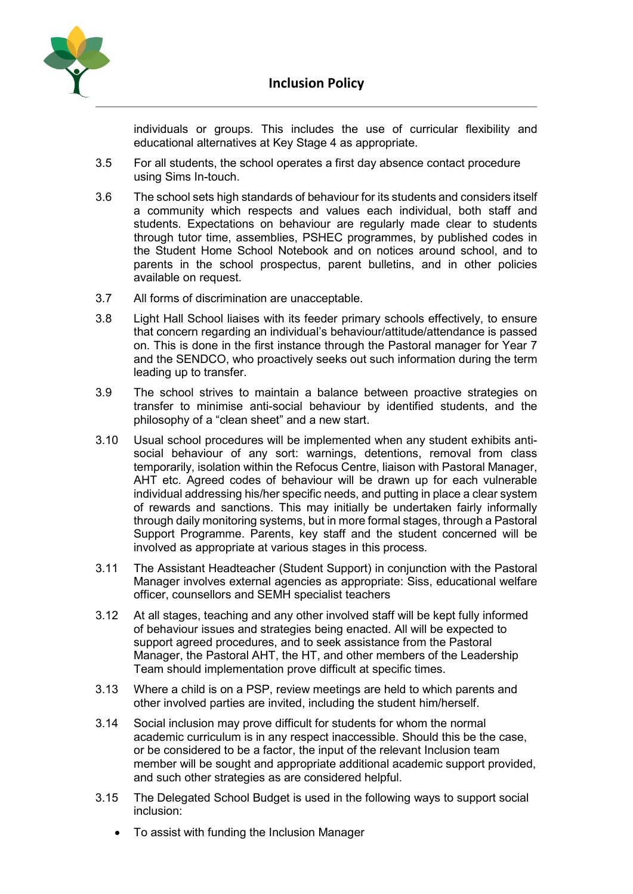

individuals or groups. This includes the use of curricular flexibility and educational alternatives at Key Stage 4 as appropriate.

- 3.5 For all students, the school operates a first day absence contact procedure using Sims In-touch.
- 3.6 The school sets high standards of behaviour for its students and considers itself a community which respects and values each individual, both staff and students. Expectations on behaviour are regularly made clear to students through tutor time, assemblies, PSHEC programmes, by published codes in the Student Home School Notebook and on notices around school, and to parents in the school prospectus, parent bulletins, and in other policies available on request.
- 3.7 All forms of discrimination are unacceptable.
- 3.8 Light Hall School liaises with its feeder primary schools effectively, to ensure that concern regarding an individual's behaviour/attitude/attendance is passed on. This is done in the first instance through the Pastoral manager for Year 7 and the SENDCO, who proactively seeks out such information during the term leading up to transfer.
- 3.9 The school strives to maintain a balance between proactive strategies on transfer to minimise anti-social behaviour by identified students, and the philosophy of a "clean sheet" and a new start.
- 3.10 Usual school procedures will be implemented when any student exhibits antisocial behaviour of any sort: warnings, detentions, removal from class temporarily, isolation within the Refocus Centre, liaison with Pastoral Manager, AHT etc. Agreed codes of behaviour will be drawn up for each vulnerable individual addressing his/her specific needs, and putting in place a clear system of rewards and sanctions. This may initially be undertaken fairly informally through daily monitoring systems, but in more formal stages, through a Pastoral Support Programme. Parents, key staff and the student concerned will be involved as appropriate at various stages in this process.
- 3.11 The Assistant Headteacher (Student Support) in conjunction with the Pastoral Manager involves external agencies as appropriate: Siss, educational welfare officer, counsellors and SEMH specialist teachers
- 3.12 At all stages, teaching and any other involved staff will be kept fully informed of behaviour issues and strategies being enacted. All will be expected to support agreed procedures, and to seek assistance from the Pastoral Manager, the Pastoral AHT, the HT, and other members of the Leadership Team should implementation prove difficult at specific times.
- 3.13 Where a child is on a PSP, review meetings are held to which parents and other involved parties are invited, including the student him/herself.
- 3.14 Social inclusion may prove difficult for students for whom the normal academic curriculum is in any respect inaccessible. Should this be the case, or be considered to be a factor, the input of the relevant Inclusion team member will be sought and appropriate additional academic support provided, and such other strategies as are considered helpful.
- 3.15 The Delegated School Budget is used in the following ways to support social inclusion:
	- To assist with funding the Inclusion Manager